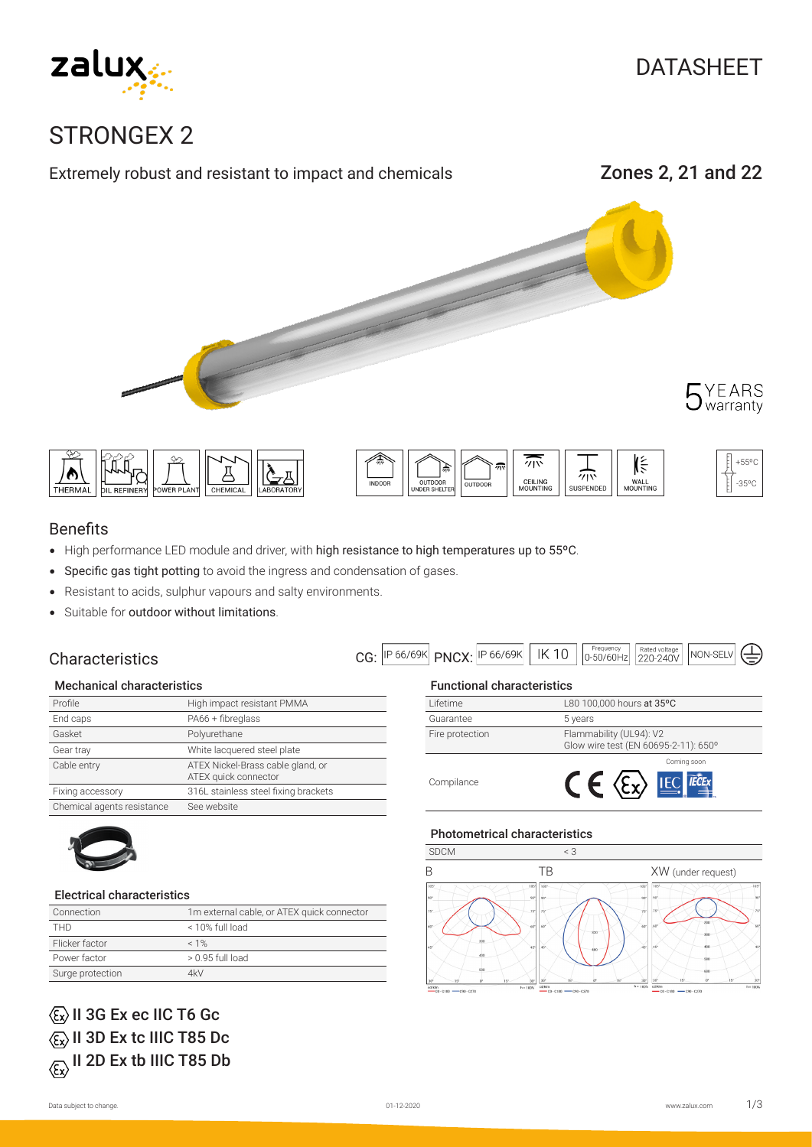

# STRONGEX 2









## +55ºC -35ºC

### Benefits

- High performance LED module and driver, with high resistance to high temperatures up to 55ºC.
- Specific gas tight potting to avoid the ingress and condensation of gases.
- Resistant to acids, sulphur vapours and salty environments.
- Suitable for outdoor without limitations.

## **Characteristics**

| $C$ C: $ P 66/69K $ PNCX· $ P 66/69K $   IK <sup>17</sup> |  | 0-50/60Hz 220-240V |  | NON-SELV |
|-----------------------------------------------------------|--|--------------------|--|----------|
|-----------------------------------------------------------|--|--------------------|--|----------|

#### Mechanical characteristics

| Profile                    | High impact resistant PMMA                                |
|----------------------------|-----------------------------------------------------------|
| End caps                   | PA66 + fibreglass                                         |
| Gasket                     | Polyurethane                                              |
| Gear tray                  | White lacquered steel plate                               |
| Cable entry                | ATEX Nickel-Brass cable gland, or<br>ATEX quick connector |
| Fixing accessory           | 316L stainless steel fixing brackets                      |
| Chemical agents resistance | See website                                               |



#### Electrical characteristics

| Connection       | 1m external cable, or ATEX quick connector |
|------------------|--------------------------------------------|
| <b>THD</b>       | < 10% full load                            |
| Flicker factor   | $< 1\%$                                    |
| Power factor     | $> 0.95$ full load                         |
| Surge protection | 4kV                                        |

# $\langle \overline{\epsilon}_x \rangle$  II 3G Ex ec IIC T6 Gc  $\langle \overline{\epsilon_{x}} \rangle$  II 3D Ex tc IIIC T85 Dc  $\langle \overline{\xi_x} \rangle$  II 2D Ex tb IIIC T85 Db

### Functional characteristics

| Lifetime        | L80 100,000 hours at 35°C                                       |
|-----------------|-----------------------------------------------------------------|
| Guarantee       | 5 years                                                         |
| Fire protection | Flammability (UL94): V2<br>Glow wire test (EN 60695-2-11): 650° |
| Compilance      | Coming soon<br><b>IEC</b>                                       |

### Photometrical characteristics

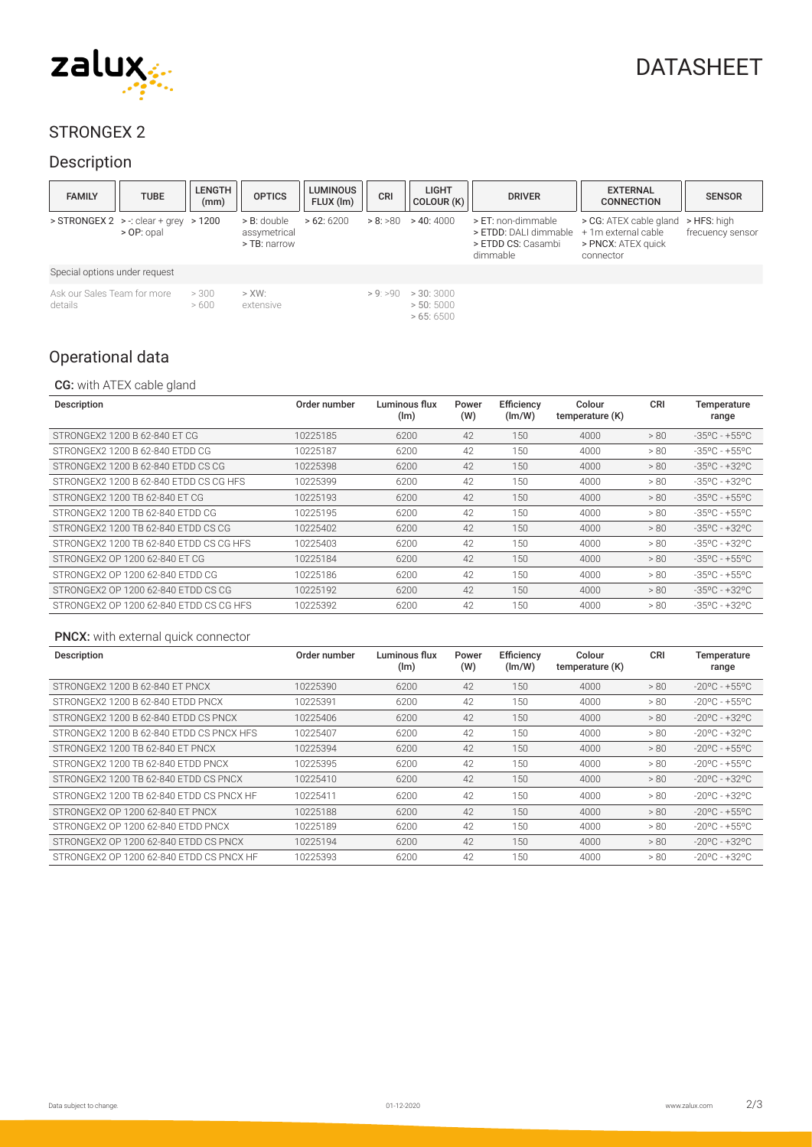

# DATASHEET

## STRONGEX 2

## Description

| <b>FAMILY</b>                          | <b>TUBE</b>                                              | <b>LENGTH</b><br>(mm) | <b>OPTICS</b>                                 | LUMINOUS  <br>FLUX (Im) | CRI    | <b>LIGHT</b><br>COLOUR (K)        | <b>DRIVER</b>                                                                                     | <b>EXTERNAL</b><br><b>CONNECTION</b>                      | <b>SENSOR</b>                   |
|----------------------------------------|----------------------------------------------------------|-----------------------|-----------------------------------------------|-------------------------|--------|-----------------------------------|---------------------------------------------------------------------------------------------------|-----------------------------------------------------------|---------------------------------|
|                                        | $>$ STRONGEX 2 $>$ : clear + grey $>$ 1200<br>> OP: opal |                       | $>$ B: double<br>assymetrical<br>> TB: narrow | >62:6200                | >8:580 | > 40:4000                         | > ET: non-dimmable<br>> ETDD: DALI dimmable + 1m external cable<br>> ETDD CS: Casambi<br>dimmable | > CG: ATEX cable gland<br>> PNCX: ATEX quick<br>connector | > HFS: high<br>frecuency sensor |
| Special options under request          |                                                          |                       |                                               |                         |        |                                   |                                                                                                   |                                                           |                                 |
| Ask our Sales Team for more<br>details |                                                          | > 300<br>>600         | $>$ XW:<br>extensive                          |                         | >9:590 | >30:3000<br>> 50:5000<br>>65:6500 |                                                                                                   |                                                           |                                 |

## Operational data

### CG: with ATEX cable gland

| Description                             | Order number | Luminous flux<br>(lm) | Power<br>(W) | Efficiency<br>(lm/W) | Colour<br>temperature (K) | <b>CRI</b> | Temperature<br>range              |
|-----------------------------------------|--------------|-----------------------|--------------|----------------------|---------------------------|------------|-----------------------------------|
| STRONGEX2 1200 B 62-840 ET CG           | 10225185     | 6200                  | 42           | 150                  | 4000                      | > 80       | $-35^{\circ}$ C - +55°C           |
| STRONGEX2 1200 B 62-840 ETDD CG         | 10225187     | 6200                  | 42           | 150                  | 4000                      | > 80       | $-35^{\circ}$ C - +55°C           |
| STRONGEX2 1200 B 62-840 FTDD CS CG      | 10225398     | 6200                  | 42           | 150                  | 4000                      | > 80       | $-35^{\circ}$ C - $+32^{\circ}$ C |
| STRONGEX2 1200 B 62-840 ETDD CS CG HFS  | 10225399     | 6200                  | 42           | 150                  | 4000                      | > 80       | $-35^{\circ}$ C - $+32^{\circ}$ C |
| STRONGEX2 1200 TB 62-840 FT CG          | 10225193     | 6200                  | 42           | 150                  | 4000                      | > 80       | $-35^{\circ}$ C - +55°C           |
| STRONGEX2 1200 TB 62-840 FTDD CG        | 10225195     | 6200                  | 42           | 150                  | 4000                      | > 80       | $-35^{\circ}$ C - +55°C           |
| STRONGEX2 1200 TB 62-840 FTDD CS CG     | 10225402     | 6200                  | 42           | 150                  | 4000                      | > 80       | $-35^{\circ}$ C - $+32^{\circ}$ C |
| STRONGEX2 1200 TB 62-840 FTDD CS CG HES | 10225403     | 6200                  | 42           | 150                  | 4000                      | > 80       | $-35^{\circ}$ C - +32°C           |
| STRONGEX2 OP 1200 62-840 ET CG          | 10225184     | 6200                  | 42           | 150                  | 4000                      | > 80       | $-35^{\circ}$ C - +55°C           |
| STRONGEX2 OP 1200 62-840 ETDD CG        | 10225186     | 6200                  | 42           | 150                  | 4000                      | > 80       | $-35^{\circ}$ C - +55°C           |
| STRONGEX2 OP 1200 62-840 FTDD CS CG     | 10225192     | 6200                  | 42           | 150                  | 4000                      | > 80       | $-35^{\circ}$ C - $+32^{\circ}$ C |
| STRONGEX2 OP 1200 62-840 ETDD CS CG HFS | 10225392     | 6200                  | 42           | 150                  | 4000                      | > 80       | $-35^{\circ}$ C - $+32^{\circ}$ C |

#### PNCX: with external quick connector

| Description                              | Order number | Luminous flux<br>(lm) | Power<br>(W) | Efficiency<br>(lm/W) | Colour<br>temperature (K) | <b>CRI</b> | Temperature<br>range              |
|------------------------------------------|--------------|-----------------------|--------------|----------------------|---------------------------|------------|-----------------------------------|
| STRONGEX2 1200 B 62-840 ET PNCX          | 10225390     | 6200                  | 42           | 150                  | 4000                      | > 80       | $-20$ °C - +55°C                  |
| STRONGEX2 1200 B 62-840 FTDD PNCX        | 10225391     | 6200                  | 42           | 150                  | 4000                      | > 80       | $-20$ °C - +55°C                  |
| STRONGEX2 1200 B 62-840 ETDD CS PNCX     | 10225406     | 6200                  | 42           | 150                  | 4000                      | > 80       | $-20^{\circ}$ C - $+32^{\circ}$ C |
| STRONGEX2 1200 B 62-840 FTDD CS PNCX HES | 10225407     | 6200                  | 42           | 150                  | 4000                      | > 80       | $-20^{\circ}$ C - +32°C           |
| STRONGEX2 1200 TB 62-840 FT PNCX         | 10225394     | 6200                  | 42           | 150                  | 4000                      | > 80       | $-20^{\circ}$ C - +55°C           |
| STRONGEX2 1200 TB 62-840 FTDD PNCX       | 10225395     | 6200                  | 42           | 150                  | 4000                      | > 80       | $-20^{\circ}$ C - +55°C           |
| STRONGEX2 1200 TB 62-840 FTDD CS PNCX    | 10225410     | 6200                  | 42           | 150                  | 4000                      | > 80       | $-20^{\circ}$ C - $+32^{\circ}$ C |
| STRONGEX2 1200 TB 62-840 ETDD CS PNCX HF | 10225411     | 6200                  | 42           | 150                  | 4000                      | > 80       | $-20$ °C - $+32$ °C               |
| STRONGEX2 OP 1200 62-840 FT PNCX         | 10225188     | 6200                  | 42           | 150                  | 4000                      | > 80       | $-20$ °C - $+55$ °C               |
| STRONGEX2 OP 1200 62-840 FTDD PNCX       | 10225189     | 6200                  | 42           | 150                  | 4000                      | > 80       | $-20$ °C - +55°C                  |
| STRONGEX2 OP 1200 62-840 ETDD CS PNCX    | 10225194     | 6200                  | 42           | 150                  | 4000                      | > 80       | $-20$ °C - $+32$ °C               |
| STRONGEX2 OP 1200 62-840 ETDD CS PNCX HF | 10225393     | 6200                  | 42           | 150                  | 4000                      | > 80       | $-20^{\circ}$ C - $+32^{\circ}$ C |